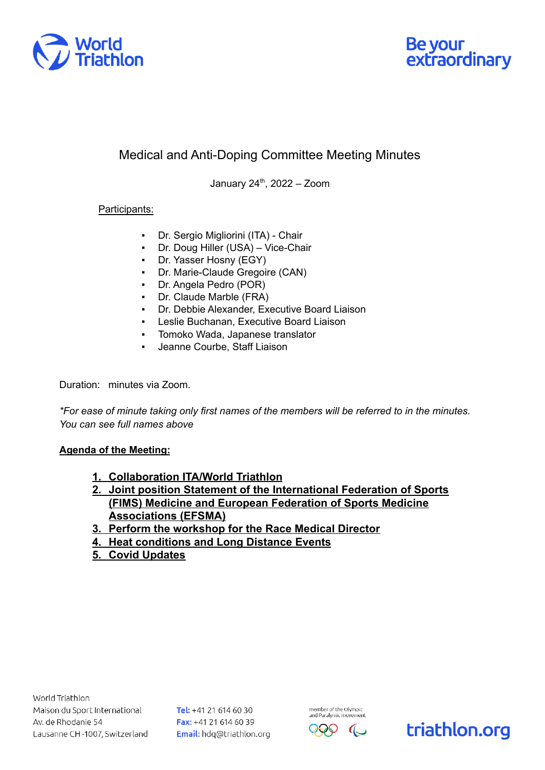



## Medical and Anti-Doping Committee Meeting Minutes

January 24 th , 2022 – Zoom

## Participants:

- Dr. Sergio Migliorini (ITA) Chair
- Dr. Doug Hiller (USA) Vice-Chair
- Dr. Yasser Hosny (EGY)
- Dr. Marie-Claude Gregoire (CAN)
- Dr. Angela Pedro (POR)
- Dr. Claude Marble (FRA)
- Dr. Debbie Alexander, Executive Board Liaison
- Leslie Buchanan, Executive Board Liaison
- Tomoko Wada, Japanese translator
- Jeanne Courbe, Staff Liaison

Duration: minutes via Zoom.

*\*For ease of minute taking only first names of the members will be referred to in the minutes. You can see full names above*

## **Agenda of the Meeting:**

- **1. Collaboration ITA/World Triathlon**
- **2. Joint position Statement of the International Federation of Sports (FIMS) Medicine and European Federation of Sports Medicine Associations (EFSMA)**
- **3. Perform the workshop for the Race Medical Director**
- **4. Heat conditions and Long Distance Events**
- **5. Covid Updates**

Tel: +41 21 614 60 30 Fax: +41 21 614 60 39 Email: hdq@triathlon.org



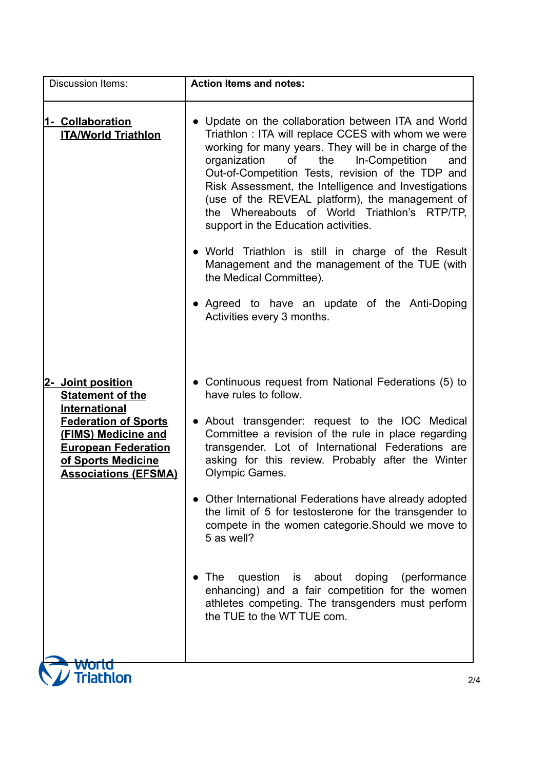| <b>Discussion Items:</b>                                                                                                                                      | <b>Action Items and notes:</b>                                                                                                                                                                                                                                                                                                                                                                                                                                                    |
|---------------------------------------------------------------------------------------------------------------------------------------------------------------|-----------------------------------------------------------------------------------------------------------------------------------------------------------------------------------------------------------------------------------------------------------------------------------------------------------------------------------------------------------------------------------------------------------------------------------------------------------------------------------|
| 1- Collaboration<br><b>ITA/World Triathlon</b>                                                                                                                | • Update on the collaboration between ITA and World<br>Triathlon : ITA will replace CCES with whom we were<br>working for many years. They will be in charge of the<br>of<br>the<br>In-Competition<br>organization<br>and<br>Out-of-Competition Tests, revision of the TDP and<br>Risk Assessment, the Intelligence and Investigations<br>(use of the REVEAL platform), the management of<br>the Whereabouts of World Triathlon's RTP/TP,<br>support in the Education activities. |
|                                                                                                                                                               | • World Triathlon is still in charge of the Result<br>Management and the management of the TUE (with<br>the Medical Committee).                                                                                                                                                                                                                                                                                                                                                   |
|                                                                                                                                                               | • Agreed to have an update of the Anti-Doping<br>Activities every 3 months.                                                                                                                                                                                                                                                                                                                                                                                                       |
| 2- Joint position<br><b>Statement of the</b>                                                                                                                  | • Continuous request from National Federations (5) to<br>have rules to follow.                                                                                                                                                                                                                                                                                                                                                                                                    |
| <b>International</b><br><b>Federation of Sports</b><br>(FIMS) Medicine and<br><b>European Federation</b><br>of Sports Medicine<br><b>Associations (EFSMA)</b> | • About transgender: request to the IOC Medical<br>Committee a revision of the rule in place regarding<br>transgender. Lot of International Federations are<br>asking for this review. Probably after the Winter<br><b>Olympic Games.</b>                                                                                                                                                                                                                                         |
|                                                                                                                                                               | • Other International Federations have already adopted<br>the limit of 5 for testosterone for the transgender to<br>compete in the women categorie. Should we move to<br>5 as well?                                                                                                                                                                                                                                                                                               |
|                                                                                                                                                               | The<br>question is about<br>doping<br>(performance)<br>enhancing) and a fair competition for the women<br>athletes competing. The transgenders must perform<br>the TUE to the WT TUE com.                                                                                                                                                                                                                                                                                         |
| <b>riathlon</b>                                                                                                                                               |                                                                                                                                                                                                                                                                                                                                                                                                                                                                                   |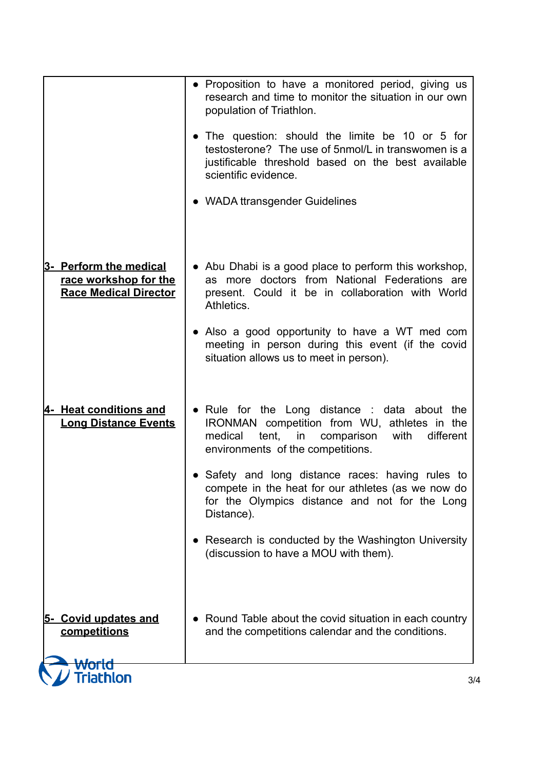|                                                                                 | • Proposition to have a monitored period, giving us<br>research and time to monitor the situation in our own<br>population of Triathlon.                                                     |
|---------------------------------------------------------------------------------|----------------------------------------------------------------------------------------------------------------------------------------------------------------------------------------------|
|                                                                                 | • The question: should the limite be 10 or 5 for<br>testosterone? The use of 5nmol/L in transwomen is a<br>justificable threshold based on the best available<br>scientific evidence.        |
|                                                                                 | • WADA ttransgender Guidelines                                                                                                                                                               |
| 3- Perform the medical<br>race workshop for the<br><b>Race Medical Director</b> | • Abu Dhabi is a good place to perform this workshop,<br>as more doctors from National Federations are<br>present. Could it be in collaboration with World<br>Athletics.                     |
|                                                                                 | • Also a good opportunity to have a WT med com<br>meeting in person during this event (if the covid<br>situation allows us to meet in person).                                               |
| 4- Heat conditions and<br><b>Long Distance Events</b>                           | • Rule for the Long distance : data about the<br>IRONMAN competition from WU, athletes in the<br>different<br>medical<br>tent,<br>in<br>comparison with<br>environments of the competitions. |
|                                                                                 | • Safety and long distance races: having rules to<br>compete in the heat for our athletes (as we now do<br>for the Olympics distance and not for the Long<br>Distance).                      |
|                                                                                 | Research is conducted by the Washington University<br>(discussion to have a MOU with them).                                                                                                  |
| 5- Covid updates and<br>competitions                                            | • Round Table about the covid situation in each country<br>and the competitions calendar and the conditions.                                                                                 |
| world<br><b>Friathlon</b>                                                       |                                                                                                                                                                                              |